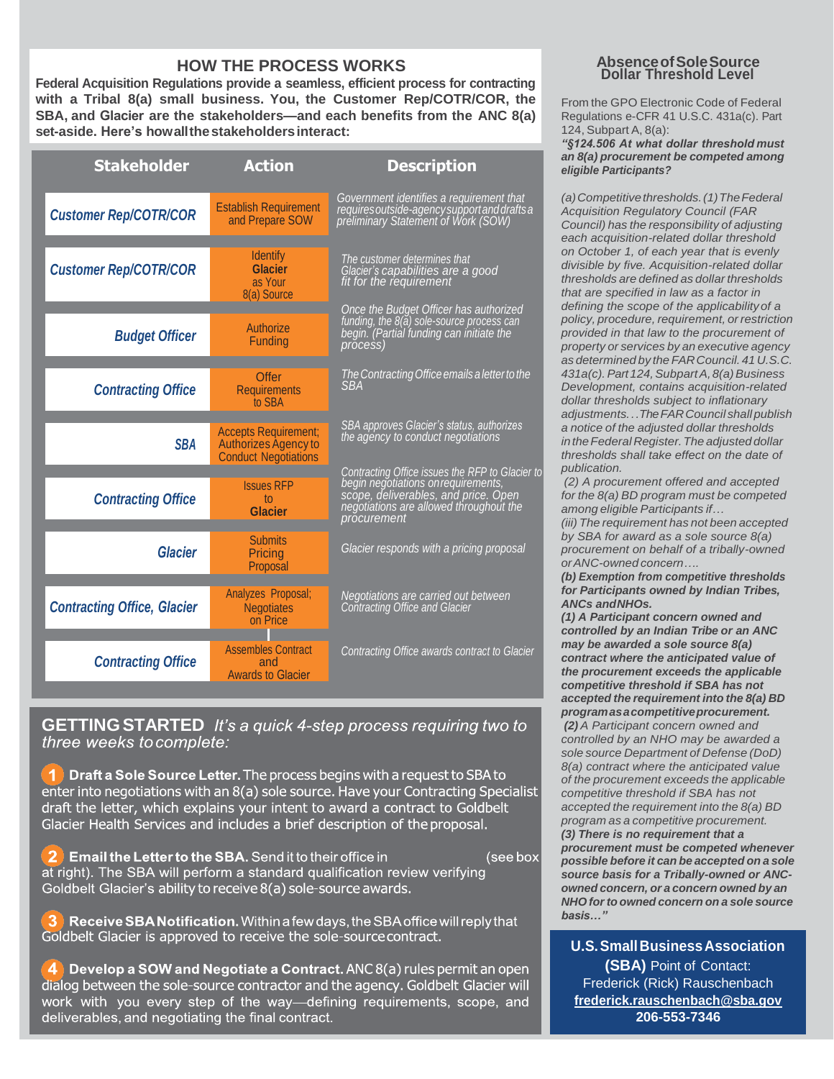#### How the Process Works **HOW THE PROCESS WORKS**

**Federal Acquisition Regulations provide a seamless, efficient process for contracting with a Tribal 8(a) small business. You, the Customer Rep/COTR/COR, the SBA, and Glacier are the stakeholders—and each benefits from the ANC 8(a) set-aside. Here's howallthe stakeholders interact:**

| <b>Stakeholder</b>                 | <b>Action</b>                                                                             | <b>Description</b>                                                                                                                                                                       |
|------------------------------------|-------------------------------------------------------------------------------------------|------------------------------------------------------------------------------------------------------------------------------------------------------------------------------------------|
| <b>Customer Rep/COTR/COR</b>       | <b>Establish Requirement</b><br>and Prepare SOW                                           | Government identifies a requirement that<br>requires outside-agency support and drafts a<br>preliminary Statement of Work (SOW)                                                          |
| <b>Customer Rep/COTR/COR</b>       | <b>Identify</b><br><b>Glacier</b><br>as Your<br>8(a) Source                               | The customer determines that<br>Glacier's capabilities are a good<br>fit for the requirement                                                                                             |
| <b>Budget Officer</b>              | Authorize<br>Funding                                                                      | Once the Budget Officer has authorized<br>funding, the 8(a) sole-source process can<br>begin. (Partial funding can initiate the<br>process)                                              |
| <b>Contracting Office</b>          | Offer<br><b>Requirements</b><br>to SBA                                                    | The Contracting Office emails a letter to the<br><b>SBA</b>                                                                                                                              |
| <b>SBA</b>                         | <b>Accepts Requirement:</b><br><b>Authorizes Agency to</b><br><b>Conduct Negotiations</b> | SBA approves Glacier's status, authorizes<br>the agency to conduct negotiations                                                                                                          |
| <b>Contracting Office</b>          | <b>Issues RFP</b><br>to<br><b>Glacier</b>                                                 | Contracting Office issues the RFP to Glacier to<br>begin negotiations on requirements,<br>scope, deliverables, and price. Open<br>negotiations are allowed throughout the<br>procurement |
| <b>Glacier</b>                     | <b>Submits</b><br>Pricing<br>Proposal                                                     | Glacier responds with a pricing proposal                                                                                                                                                 |
| <b>Contracting Office, Glacier</b> | Analyzes Proposal;<br><b>Negotiates</b><br>on Price                                       | Negotiations are carried out between<br>Contracting Office and Glacier                                                                                                                   |
| <b>Contracting Office</b>          | <b>Assembles Contract</b><br>and<br><b>Awards to Glacier</b>                              | Contracting Office awards contract to Glacier                                                                                                                                            |

**GETTING STARTED** It's a quick 4-step process requiring two to three weeks to complete:

1 Draft a Sole Source Letter. The process begins with a request to SBA to enter into negotiations with an 8(a) sole source. Have your Contracting Specialist draft the letter, which explains your intent to award a contract to Goldbelt Glacier Health Services and includes a brief description of the proposal.

Email the Letter to the SBA. Send it to their office in (see box at right). The SBA will perform a standard qualification review verifying Goldbelt Glacier's ability to receive 8(a) sole-source awards.

Receive SBA Notification. Within a few days, the SBA office will reply that Goldbelt Glacier is approved to receive the sole-source contract.

4 Develop a SOW and Negotiate a Contract. ANC 8(a) rules permit an open dialog between the sole-source contractor and the agency. Goldbelt Glacier will work with you every step of the way-defining requirements, scope, and deliverables, and negotiating the final contract.

### **Dollar Threshold Level AbsenceofSoleSource**

From the GPO Electronic Code of Federal Regulations e-CFR 41 U.S.C. 431a(c). Part 124, Subpart A, 8(a):

*"§124.506 At what dollar threshold must an 8(a) procurement be competed among eligible Participants?*

*(a)Competitivethresholds.(1)TheFederal Acquisition Regulatory Council (FAR Council) has the responsibility of adjusting each acquisition-related dollar threshold on October 1, of each year that is evenly divisible by five. Acquisition-related dollar thresholds are defined as dollar thresholds that are specified in law as a factor in defining the scope of the applicabilityof a policy, procedure, requirement, or restriction provided in that law to the procurement of property or services by an executive agency as determined by the FARCouncil.41 U.S.C. 431a(c).Part124,SubpartA,8(a)Business Development, contains acquisition-related dollar thresholds subject to inflationary adjustments...TheFARCouncil shallpublish a notice of the adjusted dollar thresholds intheFederal Register.The adjusted dollar thresholds shall take effect on the date of publication.*

*(2) A procurement offered and accepted for the 8(a) BD program must be competed among eligible Participants if… (iii) The requirement has not been accepted by SBA for award as a sole source 8(a) procurement on behalf of a tribally-owned orANC-ownedconcern….*

*(b) Exemption from competitive thresholds for Participants owned by Indian Tribes, ANCs andNHOs.*

*(1) A Participant concern owned and controlled by an Indian Tribe or an ANC may be awarded a sole source 8(a) contract where the anticipated value of the procurement exceeds the applicable competitive threshold if SBA has not accepted the requirement into the 8(a) BD programasacompetitiveprocurement. (2) A Participant concern owned and controlled by an NHO may be awarded a sole source Department of Defense (DoD) 8(a) contract where the anticipated value of the procurement exceeds the applicable competitive threshold if SBA has not accepted the requirement into the 8(a) BD program as a competitive procurement. (3) There is no requirement that a procurement must be competed whenever possible before it can be accepted on a sole source basis for a Tribally-owned or ANCowned concern, or a concern owned by an NHO forto owned concern on a sole source basis…"*

**U.S.SmallBusinessAssociation (SBA)** Point of Contact: Frederick (Rick) Rauschenbach **[frederick.r](mailto:frederick.rauschenbach@sba.gov)[auschenbach@sba.gov](mailto:auschenbach@sba.gov) 206-553-7346**